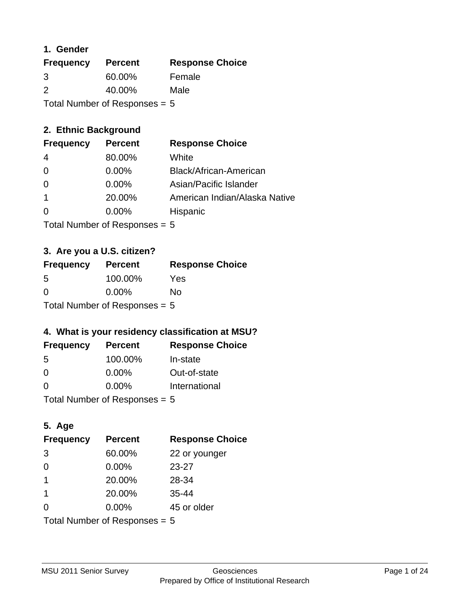### **1. Gender**

| <b>Frequency</b>                | <b>Percent</b> | <b>Response Choice</b> |
|---------------------------------|----------------|------------------------|
| 3                               | 60.00%         | Female                 |
| $\mathcal{P}$                   | 40.00%         | Male                   |
| Total Number of Responses $= 5$ |                |                        |

## **2. Ethnic Background**

| <b>Frequency</b> | <b>Percent</b> | <b>Response Choice</b>        |
|------------------|----------------|-------------------------------|
| 4                | 80.00%         | White                         |
| $\Omega$         | $0.00\%$       | Black/African-American        |
| $\Omega$         | $0.00\%$       | Asian/Pacific Islander        |
|                  | 20.00%         | American Indian/Alaska Native |
|                  | $0.00\%$       | Hispanic                      |
|                  |                |                               |

Total Number of Responses = 5

## **3. Are you a U.S. citizen?**

| <b>Frequency</b>                | <b>Percent</b> | <b>Response Choice</b> |
|---------------------------------|----------------|------------------------|
| -5                              | 100.00%        | Yes                    |
| $\Omega$                        | $0.00\%$       | Nο                     |
| Total Number of Responses = $5$ |                |                        |

## **4. What is your residency classification at MSU?**

| <b>Frequency</b> | <b>Percent</b> | <b>Response Choice</b> |
|------------------|----------------|------------------------|
| -5               | 100.00%        | In-state               |
| 0                | $0.00\%$       | Out-of-state           |
| $\Omega$         | $0.00\%$       | International          |
|                  |                |                        |

Total Number of Responses = 5

## **5. Age**

| <b>Frequency</b>                | <b>Percent</b> | <b>Response Choice</b> |
|---------------------------------|----------------|------------------------|
| 3                               | 60.00%         | 22 or younger          |
| $\Omega$                        | 0.00%          | 23-27                  |
| 1                               | 20.00%         | 28-34                  |
| -1                              | 20.00%         | $35 - 44$              |
| 0                               | $0.00\%$       | 45 or older            |
| Total Number of Responses = $5$ |                |                        |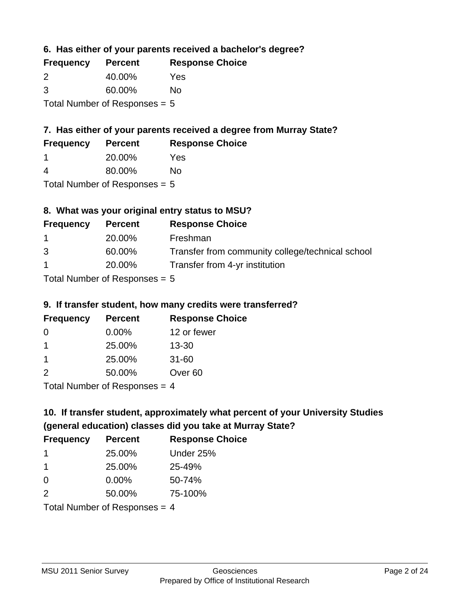**6. Has either of your parents received a bachelor's degree?**

| <b>Frequency</b>                | <b>Percent</b> | <b>Response Choice</b> |
|---------------------------------|----------------|------------------------|
| 2                               | 40.00%         | Yes                    |
| 3                               | 60.00%         | No                     |
| Total Number of Responses = $5$ |                |                        |

## **7. Has either of your parents received a degree from Murray State?**

| <b>Frequency</b> | <b>Percent</b> | <b>Response Choice</b> |
|------------------|----------------|------------------------|
|                  | 20.00%         | Yes                    |

4 80.00% No

Total Number of Responses = 5

## **8. What was your original entry status to MSU?**

| <b>Frequency</b> | <b>Percent</b>                                | <b>Response Choice</b>                           |
|------------------|-----------------------------------------------|--------------------------------------------------|
| $\mathbf 1$      | 20.00%                                        | Freshman                                         |
| 3                | 60.00%                                        | Transfer from community college/technical school |
| $\mathbf{1}$     | 20.00%                                        | Transfer from 4-yr institution                   |
|                  | $\tau$ . The set of $\tau$ is a set of $\tau$ |                                                  |

Total Number of Responses = 5

### **9. If transfer student, how many credits were transferred?**

| <b>Frequency</b>              | <b>Percent</b> | <b>Response Choice</b> |
|-------------------------------|----------------|------------------------|
| -0                            | $0.00\%$       | 12 or fewer            |
|                               | 25.00%         | $13 - 30$              |
|                               | 25.00%         | $31 - 60$              |
| $\mathcal{P}$                 | 50.00%         | Over <sub>60</sub>     |
| Tetal Nives boy of Desperance |                |                        |

Total Number of Responses = 4

# **10. If transfer student, approximately what percent of your University Studies (general education) classes did you take at Murray State?**

| <b>Frequency</b>                | <b>Percent</b> | <b>Response Choice</b> |
|---------------------------------|----------------|------------------------|
| $\mathbf 1$                     | 25.00%         | Under 25%              |
| 1                               | 25.00%         | 25-49%                 |
| $\Omega$                        | $0.00\%$       | 50-74%                 |
| 2                               | 50.00%         | 75-100%                |
| Total Number of Responses $=$ 4 |                |                        |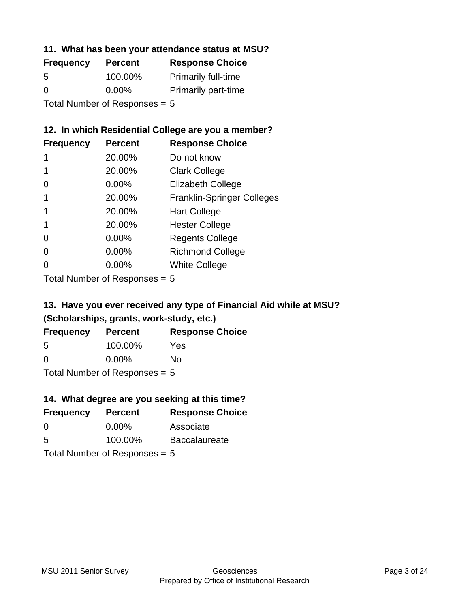### **11. What has been your attendance status at MSU?**

| <b>Frequency</b> | <b>Percent</b>                 | <b>Response Choice</b>     |
|------------------|--------------------------------|----------------------------|
| 5                | 100.00%                        | <b>Primarily full-time</b> |
| $\Omega$         | $0.00\%$                       | <b>Primarily part-time</b> |
|                  | $Total Number of Dononono = 5$ |                            |

Total Number of Responses = 5

## **12. In which Residential College are you a member?**

| <b>Frequency</b> | <b>Percent</b> | <b>Response Choice</b>            |
|------------------|----------------|-----------------------------------|
| 1                | 20.00%         | Do not know                       |
|                  | 20.00%         | <b>Clark College</b>              |
| 0                | 0.00%          | <b>Elizabeth College</b>          |
|                  | 20.00%         | <b>Franklin-Springer Colleges</b> |
|                  | 20.00%         | <b>Hart College</b>               |
|                  | 20.00%         | <b>Hester College</b>             |
| 0                | $0.00\%$       | <b>Regents College</b>            |
| 0                | 0.00%          | <b>Richmond College</b>           |
| O                | 0.00%          | <b>White College</b>              |
|                  |                |                                   |

Total Number of Responses = 5

## **13. Have you ever received any type of Financial Aid while at MSU? (Scholarships, grants, work-study, etc.)**

| <b>Frequency</b>                | <b>Percent</b> | <b>Response Choice</b> |
|---------------------------------|----------------|------------------------|
| 5                               | 100.00%        | Yes                    |
| 0                               | $0.00\%$       | No                     |
| Total Number of Responses $= 5$ |                |                        |

## **14. What degree are you seeking at this time?**

| <b>Frequency</b>                | <b>Percent</b> | <b>Response Choice</b> |
|---------------------------------|----------------|------------------------|
| 0                               | $0.00\%$       | Associate              |
| 5                               | 100.00%        | <b>Baccalaureate</b>   |
| Total Number of Responses $= 5$ |                |                        |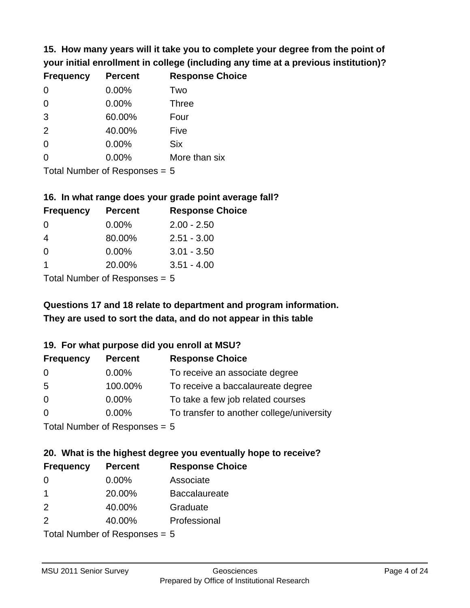**15. How many years will it take you to complete your degree from the point of your initial enrollment in college (including any time at a previous institution)?**

| <b>Frequency</b> | <b>Percent</b> | <b>Response Choice</b> |
|------------------|----------------|------------------------|
| 0                | 0.00%          | Two                    |
| 0                | 0.00%          | <b>Three</b>           |
| 3                | 60.00%         | Four                   |
| 2                | 40.00%         | Five                   |
| $\overline{0}$   | 0.00%          | <b>Six</b>             |
| $\overline{0}$   | 0.00%          | More than six          |
|                  |                |                        |

Total Number of Responses = 5

#### **16. In what range does your grade point average fall?**

| <b>Frequency</b> | <b>Percent</b>               | <b>Response Choice</b> |
|------------------|------------------------------|------------------------|
| 0                | 0.00%                        | $2.00 - 2.50$          |
| 4                | 80.00%                       | $2.51 - 3.00$          |
| 0                | 0.00%                        | $3.01 - 3.50$          |
| 1                | 20.00%                       | $3.51 - 4.00$          |
|                  | $\tau$ . The state of $\sim$ |                        |

Total Number of Responses = 5

## **They are used to sort the data, and do not appear in this table Questions 17 and 18 relate to department and program information.**

### **19. For what purpose did you enroll at MSU?**

| <b>Frequency</b>               | <b>Percent</b> | <b>Response Choice</b>                    |
|--------------------------------|----------------|-------------------------------------------|
| 0                              | $0.00\%$       | To receive an associate degree            |
| 5                              | 100.00%        | To receive a baccalaureate degree         |
| $\overline{0}$                 | $0.00\%$       | To take a few job related courses         |
| $\Omega$                       | 0.00%          | To transfer to another college/university |
| $Total Number of Denonone = F$ |                |                                           |

Total Number of Responses = 5

## **20. What is the highest degree you eventually hope to receive?**

| <b>Frequency</b> | <b>Percent</b>                 | <b>Response Choice</b> |
|------------------|--------------------------------|------------------------|
| 0                | $0.00\%$                       | Associate              |
| 1                | 20.00%                         | <b>Baccalaureate</b>   |
| 2                | 40.00%                         | Graduate               |
| 2                | 40.00%                         | Professional           |
|                  | $Total Number of Denonone = F$ |                        |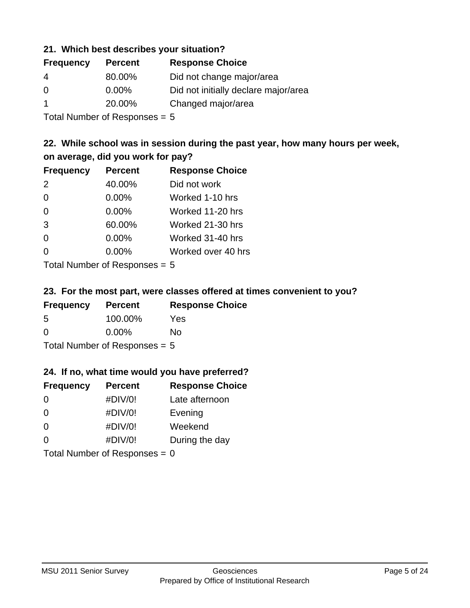### **21. Which best describes your situation?**

| <b>Percent</b> | <b>Response Choice</b>               |
|----------------|--------------------------------------|
| 80.00%         | Did not change major/area            |
| $0.00\%$       | Did not initially declare major/area |
| 20.00%         | Changed major/area                   |
|                |                                      |

Total Number of Responses = 5

## **22. While school was in session during the past year, how many hours per week, on average, did you work for pay?**

| <b>Frequency</b> | <b>Percent</b> | <b>Response Choice</b> |
|------------------|----------------|------------------------|
| 2                | 40.00%         | Did not work           |
| $\Omega$         | 0.00%          | Worked 1-10 hrs        |
| $\Omega$         | 0.00%          | Worked 11-20 hrs       |
| 3                | 60.00%         | Worked 21-30 hrs       |
| $\Omega$         | 0.00%          | Worked 31-40 hrs       |
| $\Omega$         | 0.00%          | Worked over 40 hrs     |
|                  |                |                        |

Total Number of Responses = 5

### **23. For the most part, were classes offered at times convenient to you?**

| <b>Frequency</b>                | <b>Percent</b> | <b>Response Choice</b> |
|---------------------------------|----------------|------------------------|
| .5                              | 100.00%        | <b>Yes</b>             |
| $\Omega$                        | $0.00\%$       | No                     |
| Total Number of Responses = $5$ |                |                        |

### **24. If no, what time would you have preferred?**

| <b>Frequency</b>                | <b>Percent</b> | <b>Response Choice</b> |
|---------------------------------|----------------|------------------------|
| $\Omega$                        | #DIV/0!        | Late afternoon         |
| $\Omega$                        | #DIV/0!        | Evening                |
| $\Omega$                        | #DIV/0!        | Weekend                |
| $\Omega$                        | #DIV/0!        | During the day         |
| Total Number of Responses = $0$ |                |                        |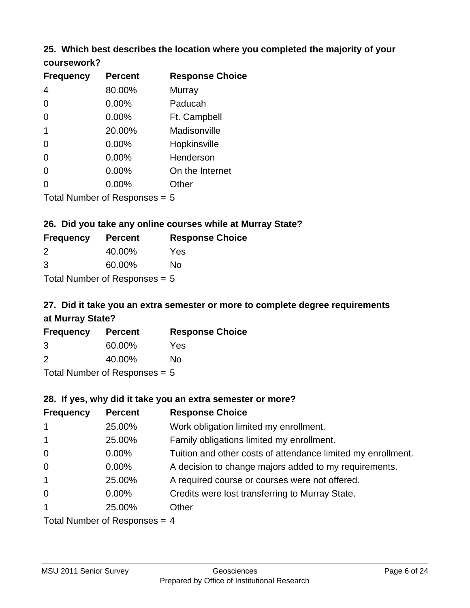### **25. Which best describes the location where you completed the majority of your coursework?**

| <b>Frequency</b> | <b>Percent</b>             | <b>Response Choice</b> |
|------------------|----------------------------|------------------------|
| 4                | 80.00%                     | Murray                 |
| 0                | 0.00%                      | Paducah                |
| $\Omega$         | 0.00%                      | Ft. Campbell           |
| 1                | 20.00%                     | Madisonville           |
| 0                | 0.00%                      | Hopkinsville           |
| $\overline{0}$   | 0.00%                      | Henderson              |
| 0                | 0.00%                      | On the Internet        |
| 0                | 0.00%                      | Other                  |
|                  | Total Number of Deepersoon |                        |

Total Number of Responses = 5

## **26. Did you take any online courses while at Murray State?**

| <b>Frequency</b>                | <b>Percent</b> | <b>Response Choice</b> |
|---------------------------------|----------------|------------------------|
| $\mathcal{P}$                   | 40.00%         | Yes                    |
| 3                               | 60.00%         | Nο                     |
| Total Number of Responses $= 5$ |                |                        |

## **27. Did it take you an extra semester or more to complete degree requirements at Murray State?**

| <b>Frequency</b> | <b>Percent</b>            | <b>Response Choice</b> |
|------------------|---------------------------|------------------------|
| 3                | 60.00%                    | Yes                    |
| 2                | 40.00%                    | No                     |
|                  | Total Number of Deepersee |                        |

Total Number of Responses = 5

### **28. If yes, why did it take you an extra semester or more?**

| <b>Frequency</b> | <b>Percent</b>                 | <b>Response Choice</b>                                       |
|------------------|--------------------------------|--------------------------------------------------------------|
| $\overline{1}$   | 25.00%                         | Work obligation limited my enrollment.                       |
| $\mathbf{1}$     | 25.00%                         | Family obligations limited my enrollment.                    |
| $\mathbf 0$      | 0.00%                          | Tuition and other costs of attendance limited my enrollment. |
| $\mathbf 0$      | $0.00\%$                       | A decision to change majors added to my requirements.        |
| $\mathbf{1}$     | 25.00%                         | A required course or courses were not offered.               |
| $\mathbf 0$      | $0.00\%$                       | Credits were lost transferring to Murray State.              |
| $\mathbf{1}$     | 25.00%                         | Other                                                        |
|                  | Total Number of Poenances $-1$ |                                                              |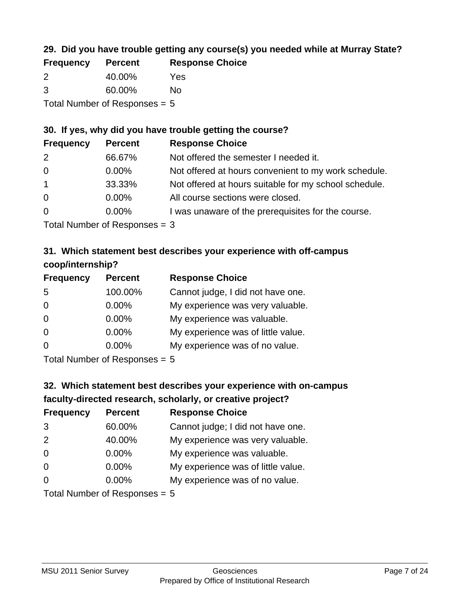## **29. Did you have trouble getting any course(s) you needed while at Murray State?**

| <b>Frequency</b> | <b>Percent</b>                  | <b>Response Choice</b> |
|------------------|---------------------------------|------------------------|
| $\mathcal{P}$    | 40.00%                          | Yes                    |
| -3               | 60.00%                          | Nο                     |
|                  | Total Number of Responses $= 5$ |                        |

### **30. If yes, why did you have trouble getting the course?**

| <b>Frequency</b> | <b>Percent</b> | <b>Response Choice</b>                                |
|------------------|----------------|-------------------------------------------------------|
| 2                | 66.67%         | Not offered the semester I needed it.                 |
| $\overline{0}$   | $0.00\%$       | Not offered at hours convenient to my work schedule.  |
| $\overline{1}$   | 33.33%         | Not offered at hours suitable for my school schedule. |
| $\overline{0}$   | $0.00\%$       | All course sections were closed.                      |
| $\overline{0}$   | $0.00\%$       | I was unaware of the prerequisites for the course.    |
|                  |                |                                                       |

Total Number of Responses = 3

## **31. Which statement best describes your experience with off-campus coop/internship?**

| <b>Frequency</b> | <b>Percent</b>                                            | <b>Response Choice</b>             |
|------------------|-----------------------------------------------------------|------------------------------------|
| 5                | 100.00%                                                   | Cannot judge, I did not have one.  |
| $\Omega$         | 0.00%                                                     | My experience was very valuable.   |
| $\Omega$         | $0.00\%$                                                  | My experience was valuable.        |
| $\Omega$         | 0.00%                                                     | My experience was of little value. |
| $\Omega$         | 0.00%                                                     | My experience was of no value.     |
|                  | $T$ at all $\lambda$ becomes the set $T$ . The set of $T$ |                                    |

Total Number of Responses = 5

## **32. Which statement best describes your experience with on-campus faculty-directed research, scholarly, or creative project?**

| <b>Frequency</b> | <b>Percent</b>              | <b>Response Choice</b>             |
|------------------|-----------------------------|------------------------------------|
| 3                | 60.00%                      | Cannot judge; I did not have one.  |
| 2                | 40.00%                      | My experience was very valuable.   |
| $\overline{0}$   | 0.00%                       | My experience was valuable.        |
| $\Omega$         | 0.00%                       | My experience was of little value. |
| $\Omega$         | 0.00%                       | My experience was of no value.     |
|                  | Total Number of Desponses E |                                    |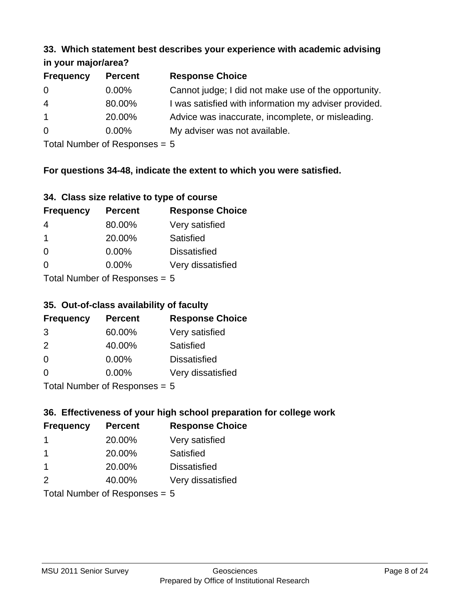#### **33. Which statement best describes your experience with academic advising in your major/area?**

| $\cdots$ your mapping out |                |                                                       |
|---------------------------|----------------|-------------------------------------------------------|
| <b>Frequency</b>          | <b>Percent</b> | <b>Response Choice</b>                                |
| 0                         | $0.00\%$       | Cannot judge; I did not make use of the opportunity.  |
| $\overline{4}$            | 80.00%         | I was satisfied with information my adviser provided. |
| $\overline{1}$            | 20.00%         | Advice was inaccurate, incomplete, or misleading.     |
| 0                         | 0.00%          | My adviser was not available.                         |
|                           |                |                                                       |

Total Number of Responses = 5

## **For questions 34-48, indicate the extent to which you were satisfied.**

| 34. Class size relative to type of course |  |  |  |  |  |  |  |  |
|-------------------------------------------|--|--|--|--|--|--|--|--|
|-------------------------------------------|--|--|--|--|--|--|--|--|

| <b>Frequency</b> | <b>Percent</b>                | <b>Response Choice</b> |
|------------------|-------------------------------|------------------------|
| 4                | 80.00%                        | Very satisfied         |
| $\overline{1}$   | 20.00%                        | Satisfied              |
| $\Omega$         | 0.00%                         | <b>Dissatisfied</b>    |
| $\Omega$         | $0.00\%$                      | Very dissatisfied      |
|                  | $Total Number of Denance = 5$ |                        |

Total Number of Responses = 5

## **35. Out-of-class availability of faculty**

| <b>Frequency</b>           | <b>Percent</b> | <b>Response Choice</b> |
|----------------------------|----------------|------------------------|
| 3                          | 60.00%         | Very satisfied         |
| $\mathcal{P}$              | 40.00%         | Satisfied              |
| $\Omega$                   | $0.00\%$       | <b>Dissatisfied</b>    |
| $\Omega$                   | $0.00\%$       | Very dissatisfied      |
| Tatal Number of Desperance |                |                        |

Total Number of Responses = 5

# **36. Effectiveness of your high school preparation for college work**

| <b>Frequency</b> | <b>Percent</b>               | <b>Response Choice</b> |
|------------------|------------------------------|------------------------|
|                  | 20.00%                       | Very satisfied         |
|                  | 20.00%                       | Satisfied              |
| -1               | 20.00%                       | <b>Dissatisfied</b>    |
| $\mathcal{P}$    | 40.00%                       | Very dissatisfied      |
|                  | $Total Number of Denonone -$ |                        |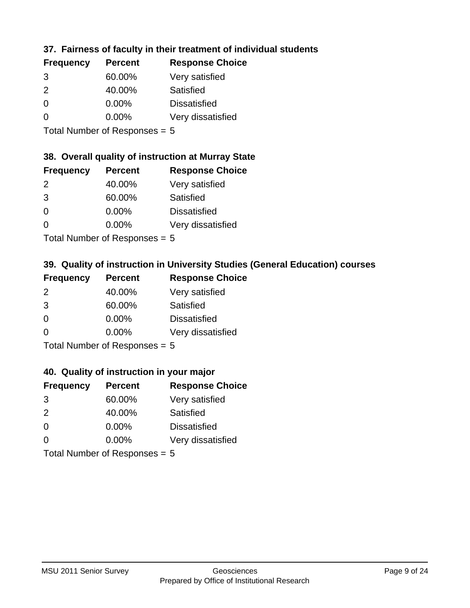## **37. Fairness of faculty in their treatment of individual students**

| <b>Frequency</b> | <b>Percent</b> | <b>Response Choice</b> |
|------------------|----------------|------------------------|
| 3                | 60.00%         | Very satisfied         |
| $\mathcal{P}$    | 40.00%         | Satisfied              |
| $\Omega$         | 0.00%          | <b>Dissatisfied</b>    |
| $\Omega$         | 0.00%          | Very dissatisfied      |
|                  |                |                        |

Total Number of Responses = 5

### **38. Overall quality of instruction at Murray State**

| <b>Frequency</b> | <b>Percent</b> | <b>Response Choice</b> |
|------------------|----------------|------------------------|
| $\mathcal{P}$    | 40.00%         | Very satisfied         |
| 3                | 60.00%         | Satisfied              |
| $\Omega$         | 0.00%          | <b>Dissatisfied</b>    |
| ∩                | 0.00%          | Very dissatisfied      |
|                  |                |                        |

Total Number of Responses = 5

## **39. Quality of instruction in University Studies (General Education) courses**

| <b>Frequency</b> | <b>Percent</b>             | <b>Response Choice</b> |
|------------------|----------------------------|------------------------|
| 2                | 40.00%                     | Very satisfied         |
| 3                | 60.00%                     | Satisfied              |
| $\Omega$         | 0.00%                      | <b>Dissatisfied</b>    |
| $\Omega$         | 0.00%                      | Very dissatisfied      |
|                  | Tatal Number of Desperance |                        |

Total Number of Responses = 5

### **40. Quality of instruction in your major**

| <b>Frequency</b> | <b>Percent</b>              | <b>Response Choice</b> |
|------------------|-----------------------------|------------------------|
| 3                | 60.00%                      | Very satisfied         |
| $\mathcal{P}$    | 40.00%                      | Satisfied              |
| $\Omega$         | 0.00%                       | <b>Dissatisfied</b>    |
| $\Omega$         | 0.00%                       | Very dissatisfied      |
|                  | Total Number of Desponses E |                        |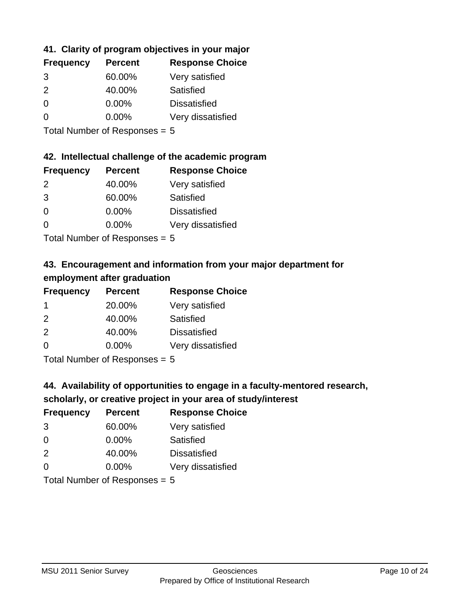## **41. Clarity of program objectives in your major**

| <b>Frequency</b> | <b>Percent</b> | <b>Response Choice</b> |
|------------------|----------------|------------------------|
| 3                | 60.00%         | Very satisfied         |
| $\mathcal{P}$    | 40.00%         | Satisfied              |
| $\Omega$         | $0.00\%$       | <b>Dissatisfied</b>    |
| O                | $0.00\%$       | Very dissatisfied      |
|                  |                |                        |

Total Number of Responses = 5

### **42. Intellectual challenge of the academic program**

| <b>Frequency</b> | <b>Percent</b> | <b>Response Choice</b> |
|------------------|----------------|------------------------|
| $\mathcal{P}$    | 40.00%         | Very satisfied         |
| 3                | 60.00%         | Satisfied              |
| $\Omega$         | 0.00%          | <b>Dissatisfied</b>    |
| $\Omega$         | 0.00%          | Very dissatisfied      |
|                  |                |                        |

Total Number of Responses = 5

## **43. Encouragement and information from your major department for employment after graduation**

| <b>Frequency</b> | <b>Percent</b>             | <b>Response Choice</b> |
|------------------|----------------------------|------------------------|
| -1               | 20.00%                     | Very satisfied         |
| 2                | 40.00%                     | Satisfied              |
| 2                | 40.00%                     | <b>Dissatisfied</b>    |
| $\Omega$         | $0.00\%$                   | Very dissatisfied      |
|                  | Total Number of Desperance |                        |

Total Number of Responses = 5

## **44. Availability of opportunities to engage in a faculty-mentored research,**

## **scholarly, or creative project in your area of study/interest**

| <b>Frequency</b> | <b>Percent</b> | <b>Response Choice</b> |
|------------------|----------------|------------------------|
| 3                | 60.00%         | Very satisfied         |
| $\Omega$         | 0.00%          | Satisfied              |
| 2                | 40.00%         | <b>Dissatisfied</b>    |
| $\Omega$         | 0.00%          | Very dissatisfied      |
|                  |                |                        |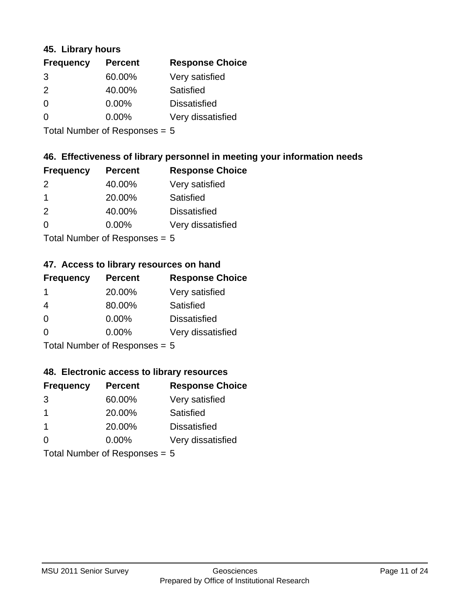### **45. Library hours**

| <b>Frequency</b> | <b>Percent</b> | <b>Response Choice</b> |
|------------------|----------------|------------------------|
| 3                | 60.00%         | Very satisfied         |
| $\mathcal{P}$    | 40.00%         | Satisfied              |
| $\Omega$         | 0.00%          | <b>Dissatisfied</b>    |
| $\Omega$         | 0.00%          | Very dissatisfied      |
|                  |                |                        |

Total Number of Responses = 5

## **46. Effectiveness of library personnel in meeting your information needs**

| <b>Frequency</b> | <b>Percent</b> | <b>Response Choice</b> |
|------------------|----------------|------------------------|
| $\mathcal{P}$    | 40.00%         | Very satisfied         |
|                  | 20.00%         | Satisfied              |
| $\mathcal{P}$    | 40.00%         | <b>Dissatisfied</b>    |
| ∩                | $0.00\%$       | Very dissatisfied      |
|                  |                |                        |

Total Number of Responses = 5

## **47. Access to library resources on hand**

| <b>Frequency</b> | <b>Percent</b>            | <b>Response Choice</b> |
|------------------|---------------------------|------------------------|
| -1               | 20.00%                    | Very satisfied         |
| 4                | 80.00%                    | Satisfied              |
| $\Omega$         | $0.00\%$                  | <b>Dissatisfied</b>    |
| ∩                | 0.00%                     | Very dissatisfied      |
|                  | Total Number of Deepensee |                        |

Total Number of Responses = 5

### **48. Electronic access to library resources**

| <b>Frequency</b>            | <b>Percent</b> | <b>Response Choice</b> |
|-----------------------------|----------------|------------------------|
| 3                           | 60.00%         | Very satisfied         |
| $\mathbf 1$                 | 20.00%         | Satisfied              |
| -1                          | 20.00%         | <b>Dissatisfied</b>    |
| $\Omega$                    | 0.00%          | Very dissatisfied      |
| Total Number of Desponses E |                |                        |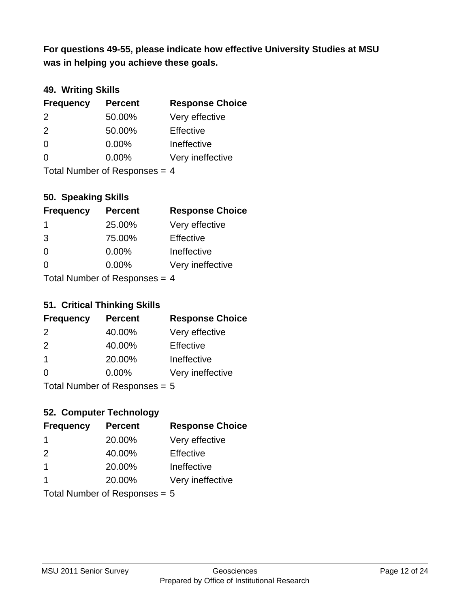**was in helping you achieve these goals. For questions 49-55, please indicate how effective University Studies at MSU** 

## **49. Writing Skills**

| <b>Frequency</b>                | <b>Percent</b> | <b>Response Choice</b> |
|---------------------------------|----------------|------------------------|
| $\mathcal{P}$                   | 50.00%         | Very effective         |
| 2                               | 50.00%         | Effective              |
| $\Omega$                        | $0.00\%$       | Ineffective            |
| $\Omega$                        | $0.00\%$       | Very ineffective       |
| Total Number of Responses = $4$ |                |                        |

**50. Speaking Skills**

| <b>Frequency</b>            | <b>Percent</b> | <b>Response Choice</b> |
|-----------------------------|----------------|------------------------|
| -1                          | 25.00%         | Very effective         |
| 3                           | 75.00%         | Effective              |
| $\Omega$                    | 0.00%          | Ineffective            |
| $\Omega$                    | 0.00%          | Very ineffective       |
| Total Number of Deepensee 4 |                |                        |

Total Number of Responses = 4

### **51. Critical Thinking Skills**

| <b>Frequency</b> | <b>Percent</b>            | <b>Response Choice</b> |
|------------------|---------------------------|------------------------|
| 2                | 40.00%                    | Very effective         |
| 2                | 40.00%                    | Effective              |
| $\overline{1}$   | 20.00%                    | Ineffective            |
| $\Omega$         | 0.00%                     | Very ineffective       |
|                  | Total Number of Deepensee |                        |

Total Number of Responses = 5

## **52. Computer Technology**

| <b>Frequency</b>     | <b>Percent</b>                  | <b>Response Choice</b> |
|----------------------|---------------------------------|------------------------|
| $\mathbf 1$          | 20.00%                          | Very effective         |
| $\mathcal{P}$        | 40.00%                          | Effective              |
| $\overline{1}$       | 20.00%                          | Ineffective            |
| $\blacktriangleleft$ | 20.00%                          | Very ineffective       |
|                      | Total Number of Responses = $5$ |                        |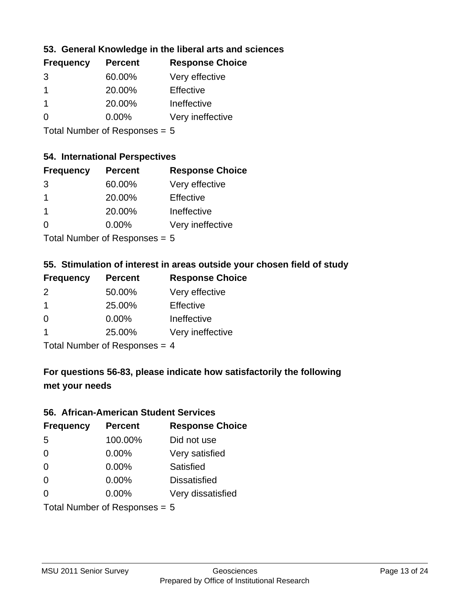## **53. General Knowledge in the liberal arts and sciences**

| <b>Frequency</b> | <b>Percent</b> | <b>Response Choice</b> |
|------------------|----------------|------------------------|
| 3                | 60.00%         | Very effective         |
|                  | 20.00%         | Effective              |
|                  | 20.00%         | Ineffective            |
| ∩                | $0.00\%$       | Very ineffective       |
|                  |                |                        |

Total Number of Responses = 5

### **54. International Perspectives**

| <b>Frequency</b> | <b>Percent</b> | <b>Response Choice</b> |
|------------------|----------------|------------------------|
| 3                | 60.00%         | Very effective         |
| 1                | 20.00%         | Effective              |
| 1                | 20.00%         | Ineffective            |
| ∩                | 0.00%          | Very ineffective       |
|                  |                |                        |

Total Number of Responses = 5

## **55. Stimulation of interest in areas outside your chosen field of study**

| <b>Frequency</b> | <b>Percent</b> | <b>Response Choice</b> |
|------------------|----------------|------------------------|
| $\mathcal{P}$    | 50.00%         | Very effective         |
| $\overline{1}$   | 25.00%         | Effective              |
| $\Omega$         | 0.00%          | Ineffective            |
| 1                | 25.00%         | Very ineffective       |
|                  |                |                        |

Total Number of Responses  $= 4$ 

## **For questions 56-83, please indicate how satisfactorily the following met your needs**

#### **56. African-American Student Services**

| <b>Frequency</b> | <b>Percent</b>                  | <b>Response Choice</b> |
|------------------|---------------------------------|------------------------|
| 5                | 100.00%                         | Did not use            |
| $\Omega$         | 0.00%                           | Very satisfied         |
| $\Omega$         | 0.00%                           | Satisfied              |
| $\Omega$         | $0.00\%$                        | <b>Dissatisfied</b>    |
| $\Omega$         | 0.00%                           | Very dissatisfied      |
|                  | Total Number of Responses = $5$ |                        |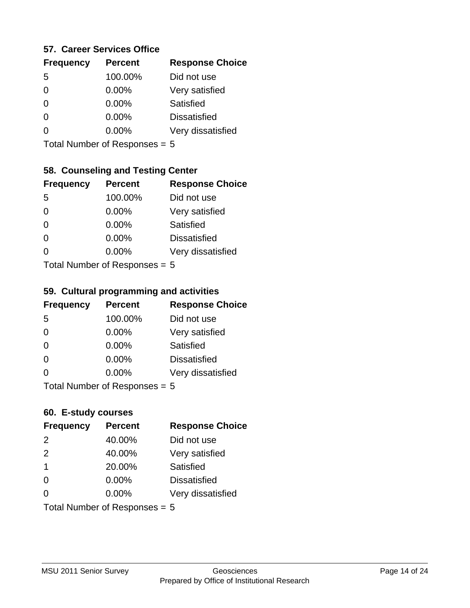### **57. Career Services Office**

| <b>Frequency</b> | <b>Percent</b> | <b>Response Choice</b> |
|------------------|----------------|------------------------|
| -5               | 100.00%        | Did not use            |
| 0                | 0.00%          | Very satisfied         |
| 0                | $0.00\%$       | <b>Satisfied</b>       |
| ∩                | 0.00%          | <b>Dissatisfied</b>    |
|                  | 0.00%          | Very dissatisfied      |
|                  |                |                        |

Total Number of Responses = 5

### **58. Counseling and Testing Center**

| <b>Frequency</b> | <b>Percent</b>             | <b>Response Choice</b> |
|------------------|----------------------------|------------------------|
| -5               | 100.00%                    | Did not use            |
| 0                | 0.00%                      | Very satisfied         |
| $\Omega$         | $0.00\%$                   | <b>Satisfied</b>       |
| $\Omega$         | $0.00\%$                   | <b>Dissatisfied</b>    |
| 0                | 0.00%                      | Very dissatisfied      |
|                  | Total Number of Deepersoon |                        |

Total Number of Responses = 5

#### **59. Cultural programming and activities**

| <b>Frequency</b>                | <b>Percent</b> | <b>Response Choice</b> |
|---------------------------------|----------------|------------------------|
| 5                               | 100.00%        | Did not use            |
| $\Omega$                        | $0.00\%$       | Very satisfied         |
| $\Omega$                        | 0.00%          | Satisfied              |
| $\Omega$                        | $0.00\%$       | <b>Dissatisfied</b>    |
| $\Omega$                        | $0.00\%$       | Very dissatisfied      |
| Total Number of Responses = $5$ |                |                        |

### **60. E-study courses**

| <b>Frequency</b> | <b>Percent</b>                  | <b>Response Choice</b> |
|------------------|---------------------------------|------------------------|
| 2                | 40.00%                          | Did not use            |
| 2                | 40.00%                          | Very satisfied         |
| $\mathbf 1$      | 20.00%                          | Satisfied              |
| $\Omega$         | 0.00%                           | <b>Dissatisfied</b>    |
| $\Omega$         | 0.00%                           | Very dissatisfied      |
|                  | Total Number of Responses = $5$ |                        |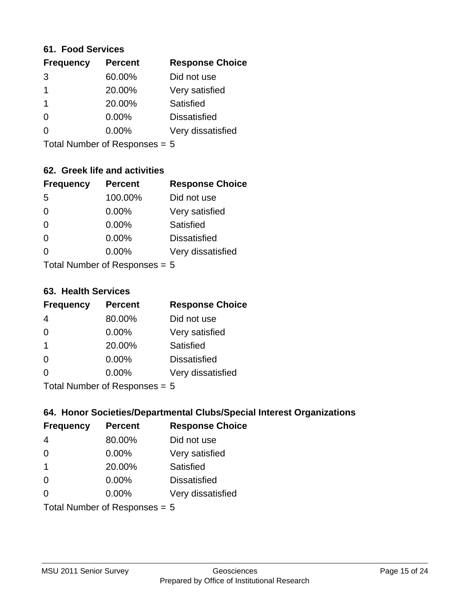#### **61. Food Services**

| <b>Frequency</b> | <b>Percent</b> | <b>Response Choice</b> |
|------------------|----------------|------------------------|
| 3                | 60.00%         | Did not use            |
|                  | 20.00%         | Very satisfied         |
|                  | 20.00%         | Satisfied              |
| 0                | $0.00\%$       | <b>Dissatisfied</b>    |
| O                | $0.00\%$       | Very dissatisfied      |
|                  |                |                        |

Total Number of Responses = 5

### **62. Greek life and activities**

| <b>Frequency</b> | <b>Percent</b>                         | <b>Response Choice</b> |
|------------------|----------------------------------------|------------------------|
| -5               | 100.00%                                | Did not use            |
| $\Omega$         | 0.00%                                  | Very satisfied         |
| $\Omega$         | 0.00%                                  | Satisfied              |
| $\Omega$         | 0.00%                                  | <b>Dissatisfied</b>    |
| 0                | 0.00%                                  | Very dissatisfied      |
|                  | $Total Number of Denonce -\frac{1}{2}$ |                        |

Total Number of Responses = 5

### **63. Health Services**

| <b>Frequency</b> | <b>Percent</b>             | <b>Response Choice</b> |
|------------------|----------------------------|------------------------|
| 4                | 80.00%                     | Did not use            |
| $\Omega$         | $0.00\%$                   | Very satisfied         |
| -1               | 20.00%                     | Satisfied              |
| $\Omega$         | $0.00\%$                   | <b>Dissatisfied</b>    |
| ∩                | 0.00%                      | Very dissatisfied      |
|                  | Total Number of Deepersoon |                        |

Total Number of Responses = 5

### **64. Honor Societies/Departmental Clubs/Special Interest Organizations**

| <b>Frequency</b>              | <b>Percent</b> | <b>Response Choice</b> |
|-------------------------------|----------------|------------------------|
| 4                             | 80.00%         | Did not use            |
| $\Omega$                      | 0.00%          | Very satisfied         |
| $\overline{1}$                | 20.00%         | Satisfied              |
| $\Omega$                      | 0.00%          | <b>Dissatisfied</b>    |
| 0                             | 0.00%          | Very dissatisfied      |
| Total Number of Responses = 5 |                |                        |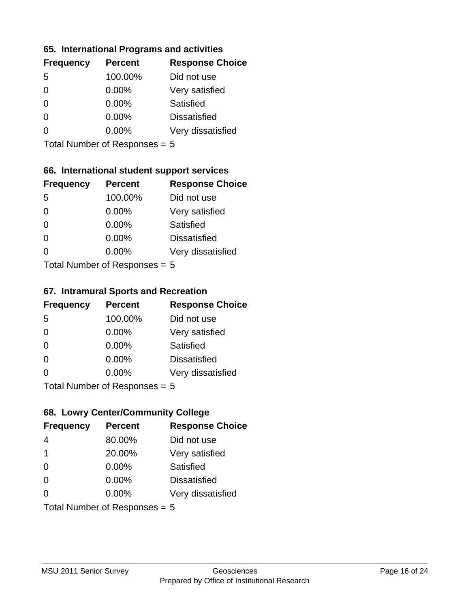### **65. International Programs and activities**

| <b>Frequency</b> | <b>Percent</b> | <b>Response Choice</b> |
|------------------|----------------|------------------------|
| .5               | 100.00%        | Did not use            |
| 0                | 0.00%          | Very satisfied         |
| 0                | $0.00\%$       | <b>Satisfied</b>       |
| O                | 0.00%          | <b>Dissatisfied</b>    |
|                  | $0.00\%$       | Very dissatisfied      |
|                  |                |                        |

Total Number of Responses = 5

## **66. International student support services**

| <b>Frequency</b> | <b>Percent</b>             | <b>Response Choice</b> |
|------------------|----------------------------|------------------------|
| -5               | 100.00%                    | Did not use            |
| 0                | 0.00%                      | Very satisfied         |
| $\Omega$         | 0.00%                      | Satisfied              |
| $\Omega$         | 0.00%                      | <b>Dissatisfied</b>    |
| 0                | 0.00%                      | Very dissatisfied      |
|                  | Total Number of Deepersoon |                        |

Total Number of Responses = 5

#### **67. Intramural Sports and Recreation**

| <b>Frequency</b>                       | <b>Percent</b> | <b>Response Choice</b> |
|----------------------------------------|----------------|------------------------|
| -5                                     | 100.00%        | Did not use            |
| $\Omega$                               | $0.00\%$       | Very satisfied         |
| $\Omega$                               | $0.00\%$       | Satisfied              |
| $\Omega$                               | $0.00\%$       | <b>Dissatisfied</b>    |
| $\Omega$                               | $0.00\%$       | Very dissatisfied      |
| $Total Number of Denonce -\frac{1}{2}$ |                |                        |

I otal Number of Responses  $= 5$ 

## **68. Lowry Center/Community College**

| <b>Frequency</b>              | <b>Percent</b> | <b>Response Choice</b> |
|-------------------------------|----------------|------------------------|
| 4                             | 80.00%         | Did not use            |
| 1                             | 20.00%         | Very satisfied         |
| $\Omega$                      | 0.00%          | Satisfied              |
| $\Omega$                      | 0.00%          | <b>Dissatisfied</b>    |
| $\Omega$                      | $0.00\%$       | Very dissatisfied      |
| Total Number of Responses = 5 |                |                        |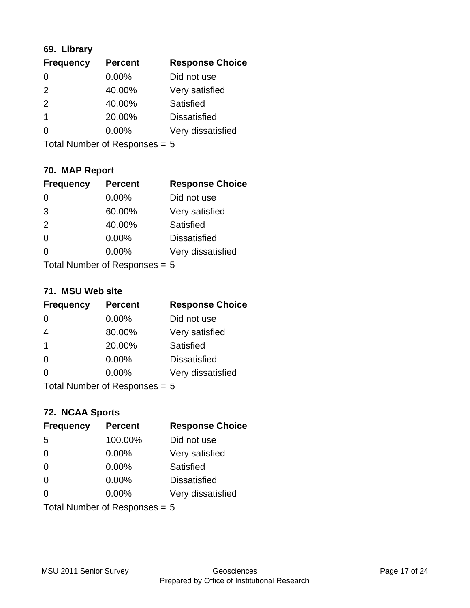## **69. Library**

| <b>Frequency</b> | <b>Percent</b> | <b>Response Choice</b> |
|------------------|----------------|------------------------|
| $\Omega$         | 0.00%          | Did not use            |
| $\mathcal{P}$    | 40.00%         | Very satisfied         |
| 2                | 40.00%         | Satisfied              |
| 1                | 20.00%         | <b>Dissatisfied</b>    |
| 0                | $0.00\%$       | Very dissatisfied      |
|                  |                |                        |

Total Number of Responses = 5

## **70. MAP Report**

| <b>Frequency</b>                | <b>Percent</b> | <b>Response Choice</b> |
|---------------------------------|----------------|------------------------|
| 0                               | 0.00%          | Did not use            |
| 3                               | 60.00%         | Very satisfied         |
| 2                               | 40.00%         | Satisfied              |
| $\Omega$                        | 0.00%          | <b>Dissatisfied</b>    |
| 0                               | $0.00\%$       | Very dissatisfied      |
| Total Number of Responses = $5$ |                |                        |

### **71. MSU Web site**

| <b>Frequency</b>                | <b>Percent</b> | <b>Response Choice</b> |
|---------------------------------|----------------|------------------------|
| $\Omega$                        | $0.00\%$       | Did not use            |
| $\overline{4}$                  | 80.00%         | Very satisfied         |
| $\overline{1}$                  | 20.00%         | Satisfied              |
| $\Omega$                        | 0.00%          | <b>Dissatisfied</b>    |
| ∩                               | 0.00%          | Very dissatisfied      |
| Total Number of Responses = $5$ |                |                        |

### **72. NCAA Sports**

| <b>Frequency</b> | <b>Percent</b>                  | <b>Response Choice</b> |
|------------------|---------------------------------|------------------------|
| 5                | 100.00%                         | Did not use            |
| $\Omega$         | 0.00%                           | Very satisfied         |
| $\Omega$         | 0.00%                           | Satisfied              |
| $\Omega$         | 0.00%                           | <b>Dissatisfied</b>    |
| ∩                | $0.00\%$                        | Very dissatisfied      |
|                  | Total Number of Responses = $5$ |                        |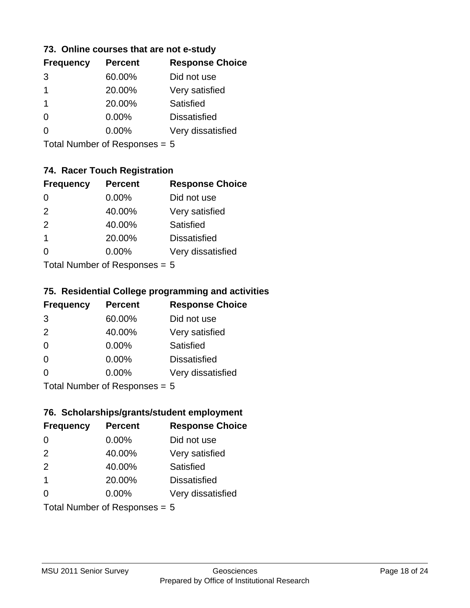### **73. Online courses that are not e-study**

| <b>Frequency</b> | <b>Percent</b> | <b>Response Choice</b> |
|------------------|----------------|------------------------|
| 3                | 60.00%         | Did not use            |
| 1                | 20.00%         | Very satisfied         |
| 1                | 20.00%         | Satisfied              |
|                  | $0.00\%$       | <b>Dissatisfied</b>    |
|                  | $0.00\%$       | Very dissatisfied      |
|                  |                |                        |

Total Number of Responses = 5

## **74. Racer Touch Registration**

| <b>Frequency</b>           | <b>Percent</b> | <b>Response Choice</b> |  |
|----------------------------|----------------|------------------------|--|
| 0                          | 0.00%          | Did not use            |  |
| 2                          | 40.00%         | Very satisfied         |  |
| 2                          | 40.00%         | Satisfied              |  |
| 1                          | 20.00%         | <b>Dissatisfied</b>    |  |
| 0                          | 0.00%          | Very dissatisfied      |  |
| Total Number of Deepersoon |                |                        |  |

Total Number of Responses = 5

## **75. Residential College programming and activities**

| <b>Frequency</b> | <b>Percent</b>              | <b>Response Choice</b> |
|------------------|-----------------------------|------------------------|
| 3                | 60.00%                      | Did not use            |
| 2                | 40.00%                      | Very satisfied         |
| $\Omega$         | $0.00\%$                    | <b>Satisfied</b>       |
| $\Omega$         | 0.00%                       | <b>Dissatisfied</b>    |
| 0                | 0.00%                       | Very dissatisfied      |
|                  | Total Number of Despanses E |                        |

Total Number of Responses = 5

## **76. Scholarships/grants/student employment**

| <b>Frequency</b> | <b>Percent</b>                | <b>Response Choice</b> |
|------------------|-------------------------------|------------------------|
| 0                | 0.00%                         | Did not use            |
| 2                | 40.00%                        | Very satisfied         |
| 2                | 40.00%                        | Satisfied              |
| $\overline{1}$   | 20.00%                        | <b>Dissatisfied</b>    |
| 0                | $0.00\%$                      | Very dissatisfied      |
|                  | Total Number of Responses = 5 |                        |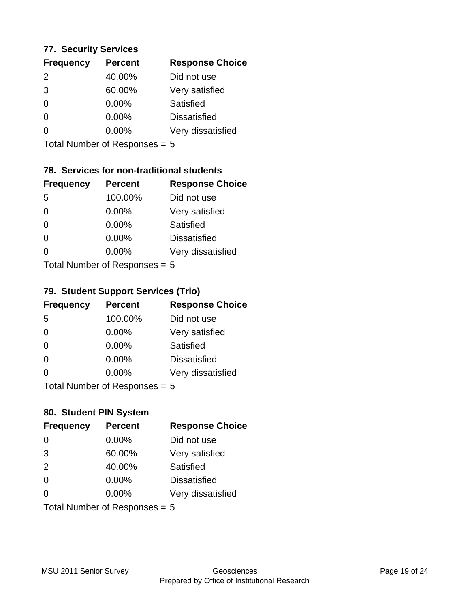### **77. Security Services**

| <b>Frequency</b> | <b>Percent</b> | <b>Response Choice</b> |
|------------------|----------------|------------------------|
| $\mathcal{P}$    | 40.00%         | Did not use            |
| 3                | 60.00%         | Very satisfied         |
| $\Omega$         | 0.00%          | Satisfied              |
| ∩                | $0.00\%$       | <b>Dissatisfied</b>    |
|                  | $0.00\%$       | Very dissatisfied      |
|                  |                |                        |

Total Number of Responses = 5

## **78. Services for non-traditional students**

| <b>Frequency</b>          | <b>Percent</b> | <b>Response Choice</b> |
|---------------------------|----------------|------------------------|
| 5                         | 100.00%        | Did not use            |
| 0                         | 0.00%          | Very satisfied         |
| $\Omega$                  | $0.00\%$       | Satisfied              |
| $\Omega$                  | 0.00%          | <b>Dissatisfied</b>    |
| 0                         | 0.00%          | Very dissatisfied      |
| Total Number of Desponses |                |                        |

Total Number of Responses = 5

## **79. Student Support Services (Trio)**

| <b>Frequency</b> | <b>Percent</b>              | <b>Response Choice</b> |
|------------------|-----------------------------|------------------------|
| 5                | 100.00%                     | Did not use            |
| $\Omega$         | 0.00%                       | Very satisfied         |
| $\Omega$         | 0.00%                       | Satisfied              |
| $\Omega$         | 0.00%                       | <b>Dissatisfied</b>    |
| $\Omega$         | 0.00%                       | Very dissatisfied      |
|                  | Total Number of Despanses E |                        |

Total Number of Responses = 5

### **80. Student PIN System**

| <b>Frequency</b> | <b>Percent</b>                  | <b>Response Choice</b> |
|------------------|---------------------------------|------------------------|
| $\Omega$         | 0.00%                           | Did not use            |
| 3                | 60.00%                          | Very satisfied         |
| 2                | 40.00%                          | Satisfied              |
| $\Omega$         | $0.00\%$                        | <b>Dissatisfied</b>    |
| $\Omega$         | $0.00\%$                        | Very dissatisfied      |
|                  | Total Number of Responses = $5$ |                        |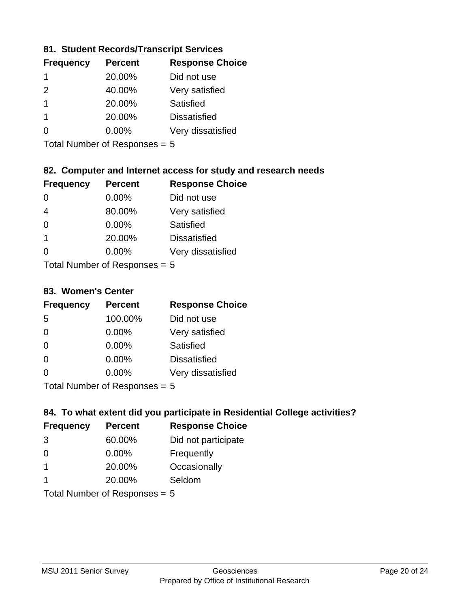### **81. Student Records/Transcript Services**

| <b>Frequency</b> | <b>Percent</b> | <b>Response Choice</b> |
|------------------|----------------|------------------------|
|                  | 20.00%         | Did not use            |
| $\mathcal{P}$    | 40.00%         | Very satisfied         |
|                  | 20.00%         | Satisfied              |
|                  | 20.00%         | <b>Dissatisfied</b>    |
|                  | $0.00\%$       | Very dissatisfied      |

Total Number of Responses = 5

## **82. Computer and Internet access for study and research needs**

| <b>Frequency</b>          | <b>Percent</b> | <b>Response Choice</b> |
|---------------------------|----------------|------------------------|
| 0                         | 0.00%          | Did not use            |
| $\overline{4}$            | 80.00%         | Very satisfied         |
| $\Omega$                  | 0.00%          | <b>Satisfied</b>       |
| $\mathbf{1}$              | 20.00%         | <b>Dissatisfied</b>    |
| 0                         | 0.00%          | Very dissatisfied      |
| Tatal Number of Despenses |                |                        |

Total Number of Responses = 5

#### **83. Women's Center**

| <b>Frequency</b>           | <b>Percent</b> | <b>Response Choice</b> |
|----------------------------|----------------|------------------------|
| -5                         | 100.00%        | Did not use            |
| $\Omega$                   | 0.00%          | Very satisfied         |
| $\Omega$                   | $0.00\%$       | Satisfied              |
| $\Omega$                   | $0.00\%$       | <b>Dissatisfied</b>    |
| $\Omega$                   | 0.00%          | Very dissatisfied      |
| Total Number of Deepersoon |                |                        |

Total Number of Responses = 5

### **84. To what extent did you participate in Residential College activities?**

| <b>Frequency</b> | <b>Percent</b>                  | <b>Response Choice</b> |
|------------------|---------------------------------|------------------------|
| 3                | 60.00%                          | Did not participate    |
| $\Omega$         | 0.00%                           | Frequently             |
| $\mathbf 1$      | 20.00%                          | Occasionally           |
|                  | 20.00%                          | Seldom                 |
|                  | Total Number of Responses = $5$ |                        |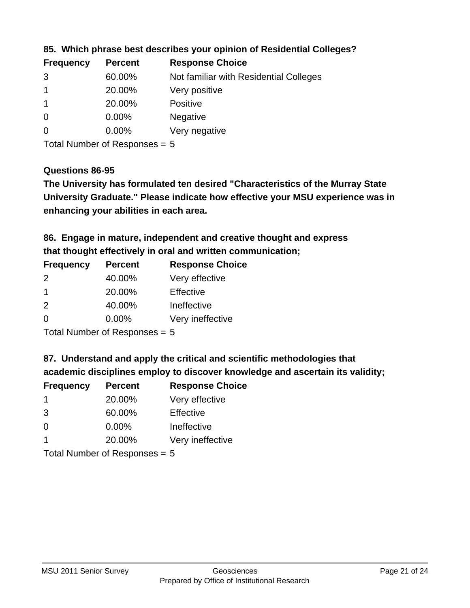| <b>Frequency</b> | <b>Percent</b> | <b>Response Choice</b>                 |
|------------------|----------------|----------------------------------------|
| 3                | 60.00%         | Not familiar with Residential Colleges |
|                  | 20.00%         | Very positive                          |
|                  | 20.00%         | <b>Positive</b>                        |
| 0                | 0.00%          | <b>Negative</b>                        |
| -0               | $0.00\%$       | Very negative                          |
|                  |                |                                        |

**85. Which phrase best describes your opinion of Residential Colleges?**

Total Number of Responses = 5

### **Questions 86-95**

**University Graduate." Please indicate how effective your MSU experience was in The University has formulated ten desired "Characteristics of the Murray State enhancing your abilities in each area.**

**86. Engage in mature, independent and creative thought and express that thought effectively in oral and written communication;**

| <b>Frequency</b> | <b>Percent</b> | <b>Response Choice</b> |
|------------------|----------------|------------------------|
| $\mathcal{P}$    | 40.00%         | Very effective         |
|                  | 20.00%         | Effective              |
| $\mathcal{P}$    | 40.00%         | Ineffective            |
| $\Omega$         | $0.00\%$       | Very ineffective       |

Total Number of Responses = 5

**87. Understand and apply the critical and scientific methodologies that** 

**academic disciplines employ to discover knowledge and ascertain its validity;**

| <b>Frequency</b> | <b>Percent</b> | <b>Response Choice</b> |
|------------------|----------------|------------------------|
| -1               | 20.00%         | Very effective         |
| 3                | 60.00%         | Effective              |
| $\Omega$         | 0.00%          | Ineffective            |
|                  | 20.00%         | Very ineffective       |
|                  |                |                        |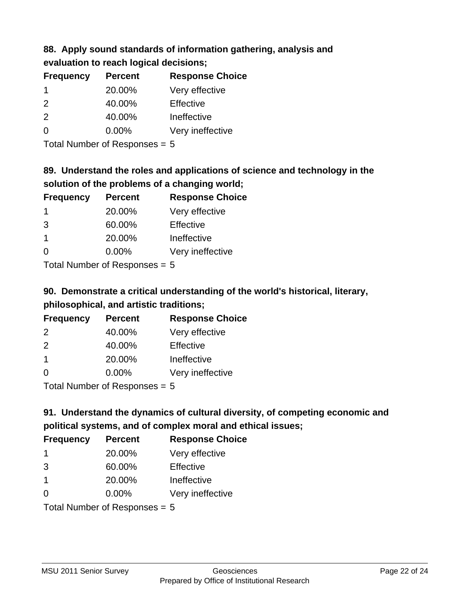### **88. Apply sound standards of information gathering, analysis and evaluation to reach logical decisions;**

| <b>Frequency</b> | <b>Percent</b> | <b>Response Choice</b> |
|------------------|----------------|------------------------|
| -1               | 20.00%         | Very effective         |
| 2                | 40.00%         | Effective              |
| 2                | 40.00%         | Ineffective            |
| 0                | 0.00%          | Very ineffective       |
|                  |                |                        |

Total Number of Responses = 5

## **89. Understand the roles and applications of science and technology in the solution of the problems of a changing world;**

| <b>Frequency</b> | <b>Percent</b> | <b>Response Choice</b> |
|------------------|----------------|------------------------|
| -1               | 20.00%         | Very effective         |
| 3                | 60.00%         | Effective              |
| $\overline{1}$   | 20.00%         | Ineffective            |
| $\Omega$         | 0.00%          | Very ineffective       |
|                  |                |                        |

Total Number of Responses = 5

# **90. Demonstrate a critical understanding of the world's historical, literary, philosophical, and artistic traditions;**

| <b>Frequency</b> | <b>Percent</b> | <b>Response Choice</b> |
|------------------|----------------|------------------------|
| $\mathcal{P}$    | 40.00%         | Very effective         |
| $\mathcal{P}$    | 40.00%         | Effective              |
| $\overline{1}$   | 20.00%         | Ineffective            |
| $\Omega$         | 0.00%          | Very ineffective       |
|                  |                |                        |

Total Number of Responses = 5

# **91. Understand the dynamics of cultural diversity, of competing economic and political systems, and of complex moral and ethical issues;**

| <b>Frequency</b> | <b>Percent</b>                  | <b>Response Choice</b> |
|------------------|---------------------------------|------------------------|
| -1               | 20.00%                          | Very effective         |
| 3                | 60.00%                          | Effective              |
| -1               | 20.00%                          | Ineffective            |
| $\Omega$         | $0.00\%$                        | Very ineffective       |
|                  | Total Number of Responses = $5$ |                        |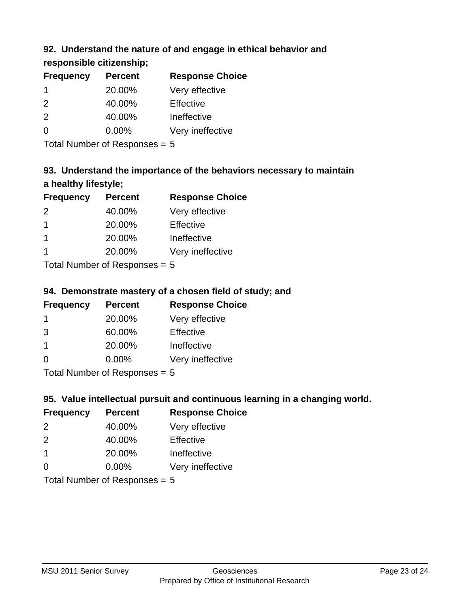## **92. Understand the nature of and engage in ethical behavior and**

## **responsible citizenship;**

| <b>Frequency</b> | <b>Percent</b> | <b>Response Choice</b> |
|------------------|----------------|------------------------|
| 1                | 20.00%         | Very effective         |
| $\mathcal{P}$    | 40.00%         | Effective              |
| $\mathcal{P}$    | 40.00%         | Ineffective            |
| O                | $0.00\%$       | Very ineffective       |
|                  |                |                        |

Total Number of Responses = 5

# **93. Understand the importance of the behaviors necessary to maintain a healthy lifestyle;**

| <b>Frequency</b> | <b>Percent</b> | <b>Response Choice</b> |
|------------------|----------------|------------------------|
| 2                | 40.00%         | Very effective         |
| $\overline{1}$   | 20.00%         | Effective              |
|                  | 20.00%         | Ineffective            |
|                  | 20.00%         | Very ineffective       |
|                  |                |                        |

Total Number of Responses = 5

## **94. Demonstrate mastery of a chosen field of study; and**

| <b>Frequency</b> | <b>Percent</b> | <b>Response Choice</b> |
|------------------|----------------|------------------------|
|                  | 20.00%         | Very effective         |
| 3                | 60.00%         | Effective              |
|                  | 20.00%         | Ineffective            |
| ∩                | $0.00\%$       | Very ineffective       |
|                  |                |                        |

Total Number of Responses = 5

## **95. Value intellectual pursuit and continuous learning in a changing world.**

| <b>Frequency</b> | <b>Percent</b> | <b>Response Choice</b> |
|------------------|----------------|------------------------|
| $\mathcal{P}$    | 40.00%         | Very effective         |
| $\mathcal{P}$    | 40.00%         | Effective              |
| -1               | 20.00%         | Ineffective            |
| ∩                | 0.00%          | Very ineffective       |
|                  |                |                        |